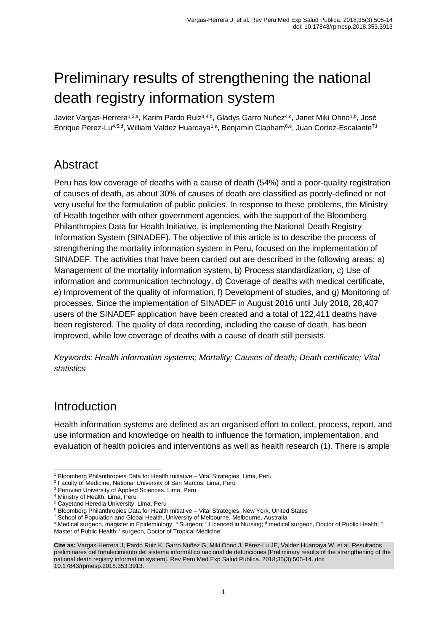# Preliminary results of strengthening the national death registry information system

<span id="page-0-0"></span>Javier Vargas-Herrera<sup>1,2,a</sup>, Karim Pardo Ruiz<sup>3,4,b</sup>, Gladys Garro Nuñez<sup>[4,c](#page-0-0)</sup>, Janet Miki Ohno<sup>1,b</sup>, José Enrique Pérez-Lu<sup>4,5,d</sup>, William Valdez Huarcaya<sup>1,a</sup>, Benjamin Clapham<sup>6,e</sup>, Juan Cortez-Escalante<sup>7,f</sup>

### Abstract

Peru has low coverage of deaths with a cause of death (54%) and a poor-quality registration of causes of death, as about 30% of causes of death are classified as poorly-defined or not very useful for the formulation of public policies. In response to these problems, the Ministry of Health together with other government agencies, with the support of the Bloomberg Philanthropies Data for Health Initiative, is implementing the National Death Registry Information System (SINADEF). The objective of this article is to describe the process of strengthening the mortality information system in Peru, focused on the implementation of SINADEF. The activities that have been carried out are described in the following areas: a) Management of the mortality information system, b) Process standardization, c) Use of information and communication technology, d) Coverage of deaths with medical certificate, e) Improvement of the quality of information, f) Development of studies, and g) Monitoring of processes. Since the implementation of SINADEF in August 2016 until July 2018, 28,407 users of the SINADEF application have been created and a total of 122,411 deaths have been registered. The quality of data recording, including the cause of death, has been improved, while low coverage of deaths with a cause of death still persists.

*Keywords: Health information systems; Mortality; Causes of death; Death certificate; Vital statistics*

### **Introduction**

Health information systems are defined as an organised effort to collect, process, report, and use information and knowledge on health to influence the formation, implementation, and evaluation of health policies and interventions as well as health research (1). There is ample

<sup>-</sup><sup>1</sup> Bloomberg Philanthropies Data for Health Initiative - Vital Strategies. Lima, Peru

<sup>2</sup> Faculty of Medicine, National University of San Marcos. Lima, Peru

<sup>&</sup>lt;sup>3</sup> Peruvian University of Applied Sciences. Lima, Peru

<sup>4</sup> Ministry of Health. Lima, Peru

<sup>5</sup> Cayetano Heredia University. Lima, Peru

<sup>&</sup>lt;sup>6</sup> Bloomberg Philanthropies Data for Health Initiative - Vital Strategies. New York, United States

<sup>&</sup>lt;sup>7</sup> School of Population and Global Health, University of Melbourne. Melbourne, Australia

a Medical surgeon, magister in Epidemiology; <sup>b</sup> Surgeon; c Licenced in Nursing; d medical surgeon, Doctor of Public Health; e Master of Public Health; f surgeon, Doctor of Tropical Medicine

**Cite as:** Vargas-Herrera J, Pardo Ruiz K, Garro Nuñez G, Miki Ohno J, Pérez-Lu JE, Valdez Huarcaya W, et al. Resultados preliminares del fortalecimiento del sistema informático nacional de defunciones [Preliminary results of the strengthening of the national death registry information system]. Rev Peru Med Exp Salud Publica. 2018;35(3):505-14. doi: 10.17843/rpmesp.2018.353.3913.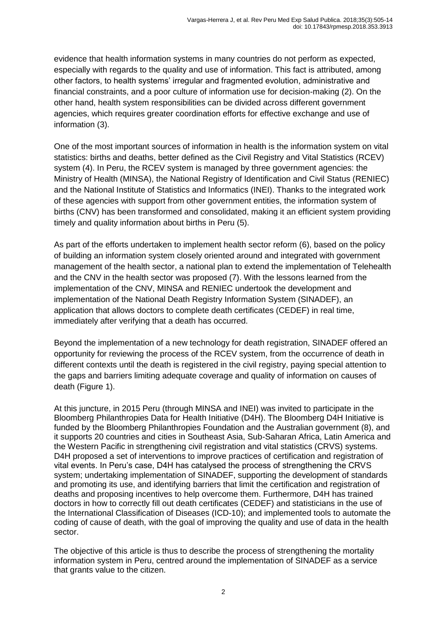evidence that health information systems in many countries do not perform as expected, especially with regards to the quality and use of information. This fact is attributed, among other factors, to health systems' irregular and fragmented evolution, administrative and financial constraints, and a poor culture of information use for decision-making (2). On the other hand, health system responsibilities can be divided across different government agencies, which requires greater coordination efforts for effective exchange and use of information (3).

One of the most important sources of information in health is the information system on vital statistics: births and deaths, better defined as the Civil Registry and Vital Statistics (RCEV) system (4). In Peru, the RCEV system is managed by three government agencies: the Ministry of Health (MINSA), the National Registry of Identification and Civil Status (RENIEC) and the National Institute of Statistics and Informatics (INEI). Thanks to the integrated work of these agencies with support from other government entities, the information system of births (CNV) has been transformed and consolidated, making it an efficient system providing timely and quality information about births in Peru (5).

As part of the efforts undertaken to implement health sector reform (6), based on the policy of building an information system closely oriented around and integrated with government management of the health sector, a national plan to extend the implementation of Telehealth and the CNV in the health sector was proposed (7). With the lessons learned from the implementation of the CNV, MINSA and RENIEC undertook the development and implementation of the National Death Registry Information System (SINADEF), an application that allows doctors to complete death certificates (CEDEF) in real time, immediately after verifying that a death has occurred.

Beyond the implementation of a new technology for death registration, SINADEF offered an opportunity for reviewing the process of the RCEV system, from the occurrence of death in different contexts until the death is registered in the civil registry, paying special attention to the gaps and barriers limiting adequate coverage and quality of information on causes of death (Figure 1).

At this juncture, in 2015 Peru (through MINSA and INEI) was invited to participate in the Bloomberg Philanthropies Data for Health Initiative (D4H). The Bloomberg D4H Initiative is funded by the Bloomberg Philanthropies Foundation and the Australian government (8), and it supports 20 countries and cities in Southeast Asia, Sub-Saharan Africa, Latin America and the Western Pacific in strengthening civil registration and vital statistics (CRVS) systems. D4H proposed a set of interventions to improve practices of certification and registration of vital events. In Peru's case, D4H has catalysed the process of strengthening the CRVS system; undertaking implementation of SINADEF, supporting the development of standards and promoting its use, and identifying barriers that limit the certification and registration of deaths and proposing incentives to help overcome them. Furthermore, D4H has trained doctors in how to correctly fill out death certificates (CEDEF) and statisticians in the use of the International Classification of Diseases (ICD-10); and implemented tools to automate the coding of cause of death, with the goal of improving the quality and use of data in the health sector.

The objective of this article is thus to describe the process of strengthening the mortality information system in Peru, centred around the implementation of SINADEF as a service that grants value to the citizen.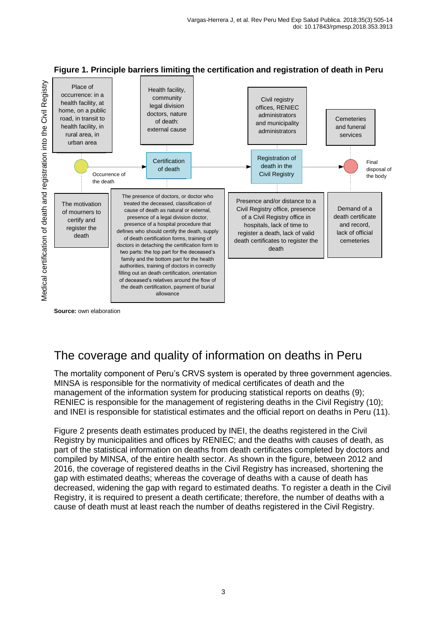

**Figure 1. Principle barriers limiting the certification and registration of death in Peru**

**Source:** own elaboration

## The coverage and quality of information on deaths in Peru

The mortality component of Peru's CRVS system is operated by three government agencies. MINSA is responsible for the normativity of medical certificates of death and the management of the information system for producing statistical reports on deaths (9); RENIEC is responsible for the management of registering deaths in the Civil Registry (10); and INEI is responsible for statistical estimates and the official report on deaths in Peru (11).

Figure 2 presents death estimates produced by INEI, the deaths registered in the Civil Registry by municipalities and offices by RENIEC; and the deaths with causes of death, as part of the statistical information on deaths from death certificates completed by doctors and compiled by MINSA, of the entire health sector. As shown in the figure, between 2012 and 2016, the coverage of registered deaths in the Civil Registry has increased, shortening the gap with estimated deaths; whereas the coverage of deaths with a cause of death has decreased, widening the gap with regard to estimated deaths. To register a death in the Civil Registry, it is required to present a death certificate; therefore, the number of deaths with a cause of death must at least reach the number of deaths registered in the Civil Registry.

3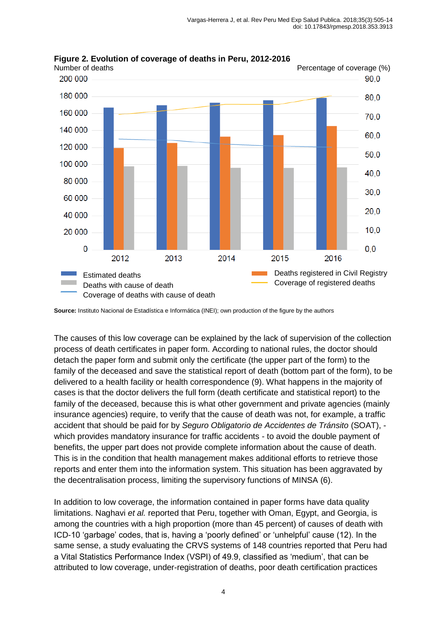

**Figure 2. Evolution of coverage of deaths in Peru, 2012-2016**

The causes of this low coverage can be explained by the lack of supervision of the collection process of death certificates in paper form. According to national rules, the doctor should detach the paper form and submit only the certificate (the upper part of the form) to the family of the deceased and save the statistical report of death (bottom part of the form), to be delivered to a health facility or health correspondence (9). What happens in the majority of cases is that the doctor delivers the full form (death certificate and statistical report) to the family of the deceased, because this is what other government and private agencies (mainly insurance agencies) require, to verify that the cause of death was not, for example, a traffic accident that should be paid for by *Seguro Obligatorio de Accidentes de Tránsito* (SOAT), which provides mandatory insurance for traffic accidents - to avoid the double payment of benefits, the upper part does not provide complete information about the cause of death. This is in the condition that health management makes additional efforts to retrieve those reports and enter them into the information system. This situation has been aggravated by the decentralisation process, limiting the supervisory functions of MINSA (6).

In addition to low coverage, the information contained in paper forms have data quality limitations. Naghavi *et al.* reported that Peru, together with Oman, Egypt, and Georgia, is among the countries with a high proportion (more than 45 percent) of causes of death with ICD-10 'garbage' codes, that is, having a 'poorly defined' or 'unhelpful' cause (12). In the same sense, a study evaluating the CRVS systems of 148 countries reported that Peru had a Vital Statistics Performance Index (VSPI) of 49.9, classified as 'medium', that can be attributed to low coverage, under-registration of deaths, poor death certification practices

**Source:** Instituto Nacional de Estadística e Informática (INEI); own production of the figure by the authors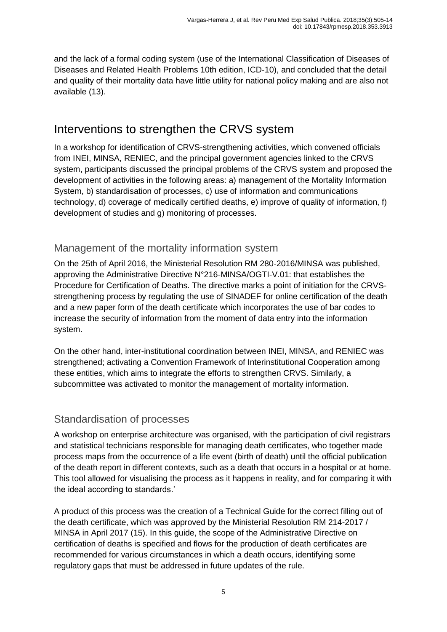and the lack of a formal coding system (use of the International Classification of Diseases of Diseases and Related Health Problems 10th edition, ICD-10), and concluded that the detail and quality of their mortality data have little utility for national policy making and are also not available (13).

### Interventions to strengthen the CRVS system

In a workshop for identification of CRVS-strengthening activities, which convened officials from INEI, MINSA, RENIEC, and the principal government agencies linked to the CRVS system, participants discussed the principal problems of the CRVS system and proposed the development of activities in the following areas: a) management of the Mortality Information System, b) standardisation of processes, c) use of information and communications technology, d) coverage of medically certified deaths, e) improve of quality of information, f) development of studies and g) monitoring of processes.

#### Management of the mortality information system

On the 25th of April 2016, the Ministerial Resolution RM 280-2016/MINSA was published, approving the Administrative Directive N°216-MINSA/OGTI-V.01: that establishes the Procedure for Certification of Deaths. The directive marks a point of initiation for the CRVSstrengthening process by regulating the use of SINADEF for online certification of the death and a new paper form of the death certificate which incorporates the use of bar codes to increase the security of information from the moment of data entry into the information system.

On the other hand, inter-institutional coordination between INEI, MINSA, and RENIEC was strengthened; activating a Convention Framework of Interinstitutional Cooperation among these entities, which aims to integrate the efforts to strengthen CRVS. Similarly, a subcommittee was activated to monitor the management of mortality information.

#### Standardisation of processes

A workshop on enterprise architecture was organised, with the participation of civil registrars and statistical technicians responsible for managing death certificates, who together made process maps from the occurrence of a life event (birth of death) until the official publication of the death report in different contexts, such as a death that occurs in a hospital or at home. This tool allowed for visualising the process as it happens in reality, and for comparing it with the ideal according to standards.'

A product of this process was the creation of a Technical Guide for the correct filling out of the death certificate, which was approved by the Ministerial Resolution RM 214-2017 / MINSA in April 2017 (15). In this guide, the scope of the Administrative Directive on certification of deaths is specified and flows for the production of death certificates are recommended for various circumstances in which a death occurs, identifying some regulatory gaps that must be addressed in future updates of the rule.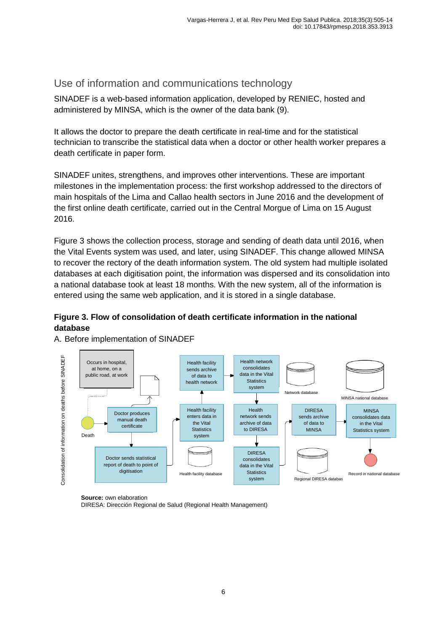#### Use of information and communications technology

SINADEF is a web-based information application, developed by RENIEC, hosted and administered by MINSA, which is the owner of the data bank (9).

It allows the doctor to prepare the death certificate in real-time and for the statistical technician to transcribe the statistical data when a doctor or other health worker prepares a death certificate in paper form.

SINADEF unites, strengthens, and improves other interventions. These are important milestones in the implementation process: the first workshop addressed to the directors of main hospitals of the Lima and Callao health sectors in June 2016 and the development of the first online death certificate, carried out in the Central Morgue of Lima on 15 August 2016.

Figure 3 shows the collection process, storage and sending of death data until 2016, when the Vital Events system was used, and later, using SINADEF. This change allowed MINSA to recover the rectory of the death information system. The old system had multiple isolated databases at each digitisation point, the information was dispersed and its consolidation into a national database took at least 18 months. With the new system, all of the information is entered using the same web application, and it is stored in a single database.

#### **Figure 3. Flow of consolidation of death certificate information in the national database**



A. Before implementation of SINADEF

**Source:** own elaboration

DIRESA: Dirección Regional de Salud (Regional Health Management)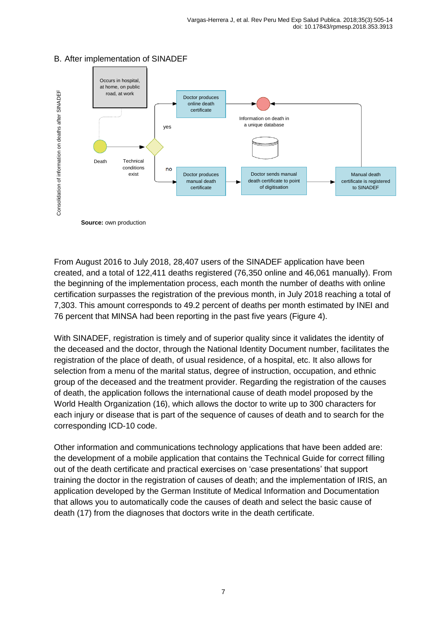

#### B. After implementation of SINADEF

**Source:** own production

From August 2016 to July 2018, 28,407 users of the SINADEF application have been created, and a total of 122,411 deaths registered (76,350 online and 46,061 manually). From the beginning of the implementation process, each month the number of deaths with online certification surpasses the registration of the previous month, in July 2018 reaching a total of 7,303. This amount corresponds to 49.2 percent of deaths per month estimated by INEI and 76 percent that MINSA had been reporting in the past five years (Figure 4).

With SINADEF, registration is timely and of superior quality since it validates the identity of the deceased and the doctor, through the National Identity Document number, facilitates the registration of the place of death, of usual residence, of a hospital, etc. It also allows for selection from a menu of the marital status, degree of instruction, occupation, and ethnic group of the deceased and the treatment provider. Regarding the registration of the causes of death, the application follows the international cause of death model proposed by the World Health Organization (16), which allows the doctor to write up to 300 characters for each injury or disease that is part of the sequence of causes of death and to search for the corresponding ICD-10 code.

Other information and communications technology applications that have been added are: the development of a mobile application that contains the Technical Guide for correct filling out of the death certificate and practical exercises on 'case presentations' that support training the doctor in the registration of causes of death; and the implementation of IRIS, an application developed by the German Institute of Medical Information and Documentation that allows you to automatically code the causes of death and select the basic cause of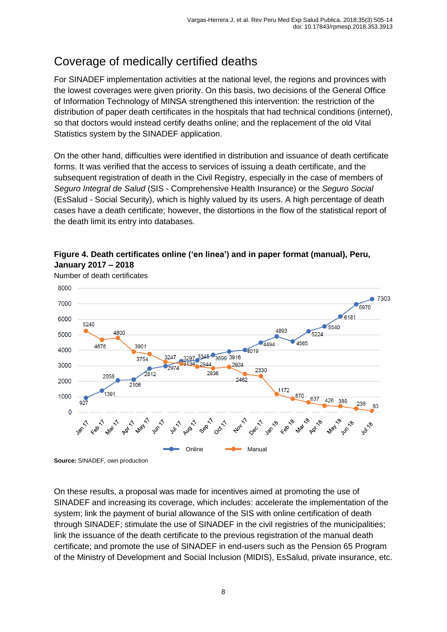## Coverage of medically certified deaths

For SINADEF implementation activities at the national level, the regions and provinces with the lowest coverages were given priority. On this basis, two decisions of the General Office of Information Technology of MINSA strengthened this intervention: the restriction of the distribution of paper death certificates in the hospitals that had technical conditions (internet), so that doctors would instead certify deaths online; and the replacement of the old Vital Statistics system by the SINADEF application.

On the other hand, difficulties were identified in distribution and issuance of death certificate forms. It was verified that the access to services of issuing a death certificate, and the subsequent registration of death in the Civil Registry, especially in the case of members of *Seguro Integral de Salud* (SIS - Comprehensive Health Insurance) or the *Seguro Social*  (EsSalud - Social Security), which is highly valued by its users. A high percentage of death cases have a death certificate; however, the distortions in the flow of the statistical report of the death limit its entry into databases.

**Figure 4. Death certificates online ('en linea') and in paper format (manual), Peru,** 



Number of death certificates

**January 2017 – 2018**

On these results, a proposal was made for incentives aimed at promoting the use of SINADEF and increasing its coverage, which includes: accelerate the implementation of the system; link the payment of burial allowance of the SIS with online certification of death through SINADEF; stimulate the use of SINADEF in the civil registries of the municipalities; link the issuance of the death certificate to the previous registration of the manual death certificate; and promote the use of SINADEF in end-users such as the Pension 65 Program of the Ministry of Development and Social Inclusion (MIDIS), EsSalud, private insurance, etc.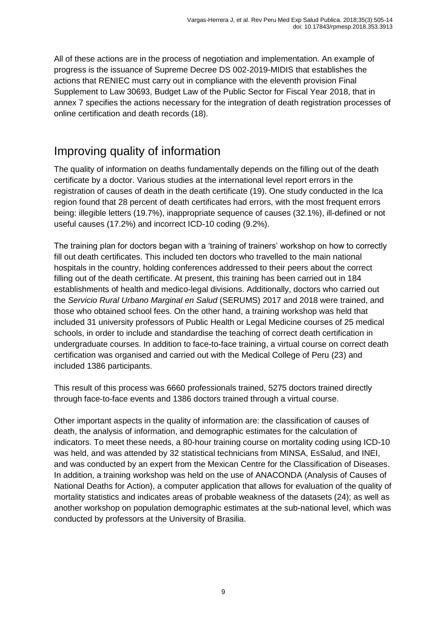All of these actions are in the process of negotiation and implementation. An example of progress is the issuance of Supreme Decree DS 002-2019-MIDIS that establishes the actions that RENIEC must carry out in compliance with the eleventh provision Final Supplement to Law 30693, Budget Law of the Public Sector for Fiscal Year 2018, that in annex 7 specifies the actions necessary for the integration of death registration processes of online certification and death records (18).

## Improving quality of information

The quality of information on deaths fundamentally depends on the filling out of the death certificate by a doctor. Various studies at the international level report errors in the registration of causes of death in the death certificate (19). One study conducted in the Ica region found that 28 percent of death certificates had errors, with the most frequent errors being: illegible letters (19.7%), inappropriate sequence of causes (32.1%), ill-defined or not useful causes (17.2%) and incorrect ICD-10 coding (9.2%).

The training plan for doctors began with a 'training of trainers' workshop on how to correctly fill out death certificates. This included ten doctors who travelled to the main national hospitals in the country, holding conferences addressed to their peers about the correct filling out of the death certificate. At present, this training has been carried out in 184 establishments of health and medico-legal divisions. Additionally, doctors who carried out the *Servicio Rural Urbano Marginal en Salud* (SERUMS) 2017 and 2018 were trained, and those who obtained school fees. On the other hand, a training workshop was held that included 31 university professors of Public Health or Legal Medicine courses of 25 medical schools, in order to include and standardise the teaching of correct death certification in undergraduate courses. In addition to face-to-face training, a virtual course on correct death certification was organised and carried out with the Medical College of Peru (23) and included 1386 participants.

This result of this process was 6660 professionals trained, 5275 doctors trained directly through face-to-face events and 1386 doctors trained through a virtual course.

Other important aspects in the quality of information are: the classification of causes of death, the analysis of information, and demographic estimates for the calculation of indicators. To meet these needs, a 80-hour training course on mortality coding using ICD-10 was held, and was attended by 32 statistical technicians from MINSA, EsSalud, and INEI, and was conducted by an expert from the Mexican Centre for the Classification of Diseases. In addition, a training workshop was held on the use of ANACONDA (Analysis of Causes of National Deaths for Action), a computer application that allows for evaluation of the quality of mortality statistics and indicates areas of probable weakness of the datasets (24); as well as another workshop on population demographic estimates at the sub-national level, which was conducted by professors at the University of Brasilia.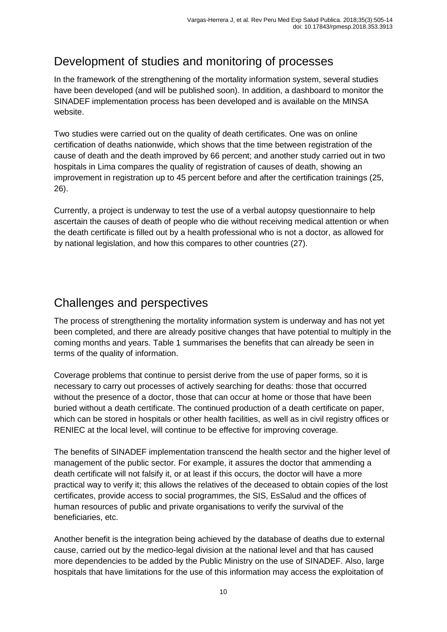## Development of studies and monitoring of processes

In the framework of the strengthening of the mortality information system, several studies have been developed (and will be published soon). In addition, a dashboard to monitor the SINADEF implementation process has been developed and is available on the MINSA website.

Two studies were carried out on the quality of death certificates. One was on online certification of deaths nationwide, which shows that the time between registration of the cause of death and the death improved by 66 percent; and another study carried out in two hospitals in Lima compares the quality of registration of causes of death, showing an improvement in registration up to 45 percent before and after the certification trainings (25, 26).

Currently, a project is underway to test the use of a verbal autopsy questionnaire to help ascertain the causes of death of people who die without receiving medical attention or when the death certificate is filled out by a health professional who is not a doctor, as allowed for by national legislation, and how this compares to other countries (27).

## Challenges and perspectives

The process of strengthening the mortality information system is underway and has not yet been completed, and there are already positive changes that have potential to multiply in the coming months and years. Table 1 summarises the benefits that can already be seen in terms of the quality of information.

Coverage problems that continue to persist derive from the use of paper forms, so it is necessary to carry out processes of actively searching for deaths: those that occurred without the presence of a doctor, those that can occur at home or those that have been buried without a death certificate. The continued production of a death certificate on paper, which can be stored in hospitals or other health facilities, as well as in civil registry offices or RENIEC at the local level, will continue to be effective for improving coverage.

The benefits of SINADEF implementation transcend the health sector and the higher level of management of the public sector. For example, it assures the doctor that ammending a death certificate will not falsify it, or at least if this occurs, the doctor will have a more practical way to verify it; this allows the relatives of the deceased to obtain copies of the lost certificates, provide access to social programmes, the SIS, EsSalud and the offices of human resources of public and private organisations to verify the survival of the beneficiaries, etc.

Another benefit is the integration being achieved by the database of deaths due to external cause, carried out by the medico-legal division at the national level and that has caused more dependencies to be added by the Public Ministry on the use of SINADEF. Also, large hospitals that have limitations for the use of this information may access the exploitation of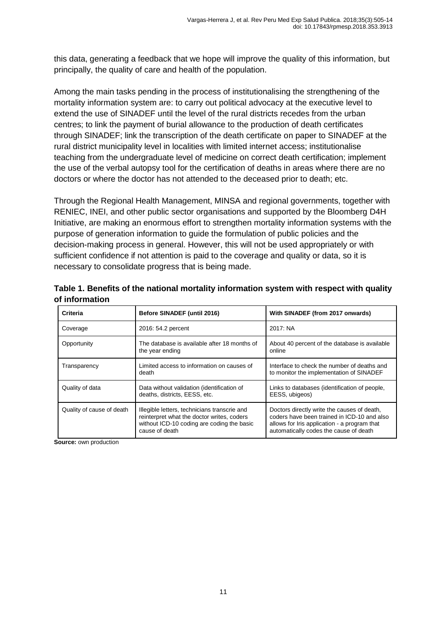this data, generating a feedback that we hope will improve the quality of this information, but principally, the quality of care and health of the population.

Among the main tasks pending in the process of institutionalising the strengthening of the mortality information system are: to carry out political advocacy at the executive level to extend the use of SINADEF until the level of the rural districts recedes from the urban centres; to link the payment of burial allowance to the production of death certificates through SINADEF; link the transcription of the death certificate on paper to SINADEF at the rural district municipality level in localities with limited internet access; institutionalise teaching from the undergraduate level of medicine on correct death certification; implement the use of the verbal autopsy tool for the certification of deaths in areas where there are no doctors or where the doctor has not attended to the deceased prior to death; etc.

Through the Regional Health Management, MINSA and regional governments, together with RENIEC, INEI, and other public sector organisations and supported by the Bloomberg D4H Initiative, are making an enormous effort to strengthen mortality information systems with the purpose of generation information to guide the formulation of public policies and the decision-making process in general. However, this will not be used appropriately or with sufficient confidence if not attention is paid to the coverage and quality or data, so it is necessary to consolidate progress that is being made.

| Criteria                  | Before SINADEF (until 2016)                                                                                                                                | With SINADEF (from 2017 onwards)                                                                                                                                                     |
|---------------------------|------------------------------------------------------------------------------------------------------------------------------------------------------------|--------------------------------------------------------------------------------------------------------------------------------------------------------------------------------------|
| Coverage                  | 2016: 54.2 percent                                                                                                                                         | 2017: NA                                                                                                                                                                             |
| Opportunity               | The database is available after 18 months of<br>the year ending                                                                                            | About 40 percent of the database is available<br>online                                                                                                                              |
| Transparency              | Limited access to information on causes of<br>death                                                                                                        | Interface to check the number of deaths and<br>to monitor the implementation of SINADEF                                                                                              |
| Quality of data           | Data without validation (identification of<br>deaths, districts, EESS, etc.                                                                                | Links to databases (identification of people,<br>EESS, ubigeos)                                                                                                                      |
| Quality of cause of death | Illegible letters, technicians transcrie and<br>reinterpret what the doctor writes, coders<br>without ICD-10 coding are coding the basic<br>cause of death | Doctors directly write the causes of death,<br>coders have been trained in ICD-10 and also<br>allows for Iris application - a program that<br>automatically codes the cause of death |

**Table 1. Benefits of the national mortality information system with respect with quality of information**

**Source: own production**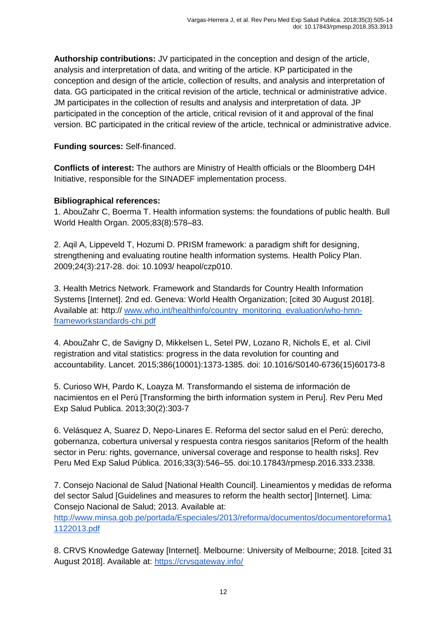**Authorship contributions:** JV participated in the conception and design of the article, analysis and interpretation of data, and writing of the article. KP participated in the conception and design of the article, collection of results, and analysis and interpretation of data. GG participated in the critical revision of the article, technical or administrative advice. JM participates in the collection of results and analysis and interpretation of data. JP participated in the conception of the article, critical revision of it and approval of the final version. BC participated in the critical review of the article, technical or administrative advice.

#### **Funding sources:** Self-financed.

**Conflicts of interest:** The authors are Ministry of Health officials or the Bloomberg D4H Initiative, responsible for the SINADEF implementation process.

#### **Bibliographical references:**

1. AbouZahr C, Boerma T. Health information systems: the foundations of public health. Bull World Health Organ. 2005;83(8):578–83.

2. Aqil A, Lippeveld T, Hozumi D. PRISM framework: a paradigm shift for designing, strengthening and evaluating routine health information systems. Health Policy Plan. 2009;24(3):217-28. doi: 10.1093/ heapol/czp010.

3. Health Metrics Network. Framework and Standards for Country Health Information Systems [Internet]. 2nd ed. Geneva: World Health Organization; [cited 30 August 2018]. Available at: http:// [www.who.int/healthinfo/country\\_monitoring\\_evaluation/who-hmn](http://www.who.int/healthinfo/country_monitoring_evaluation/who-hmn-frameworkstandards-chi.pdf)[frameworkstandards-chi.pdf](http://www.who.int/healthinfo/country_monitoring_evaluation/who-hmn-frameworkstandards-chi.pdf)

4. AbouZahr C, de Savigny D, Mikkelsen L, Setel PW, Lozano R, Nichols E, et al. Civil registration and vital statistics: progress in the data revolution for counting and accountability. Lancet. 2015;386(10001):1373-1385. doi: 10.1016/S0140-6736(15)60173-8

5. Curioso WH, Pardo K, Loayza M. Transformando el sistema de información de nacimientos en el Perú [Transforming the birth information system in Peru]. Rev Peru Med Exp Salud Publica. 2013;30(2):303-7

6. Velásquez A, Suarez D, Nepo-Linares E. Reforma del sector salud en el Perú: derecho, gobernanza, cobertura universal y respuesta contra riesgos sanitarios [Reform of the health sector in Peru: rights, governance, universal coverage and response to health risks]. Rev Peru Med Exp Salud Pública. 2016;33(3):546–55. doi:10.17843/rpmesp.2016.333.2338.

7. Consejo Nacional de Salud [National Health Council]. Lineamientos y medidas de reforma del sector Salud [Guidelines and measures to reform the health sector] [Internet]. Lima: Consejo Nacional de Salud; 2013. Available at:

[http://www.minsa.gob.pe/portada/Especiales/2013/reforma/documentos/documentoreforma1](http://www.minsa.gob.pe/portada/Especiales/2013/reforma/documentos/documentoreforma11122013.pdf) [1122013.pdf](http://www.minsa.gob.pe/portada/Especiales/2013/reforma/documentos/documentoreforma11122013.pdf)

8. CRVS Knowledge Gateway [Internet]. Melbourne: University of Melbourne; 2018. [cited 31 August 2018]. Available at:<https://crvsgateway.info/>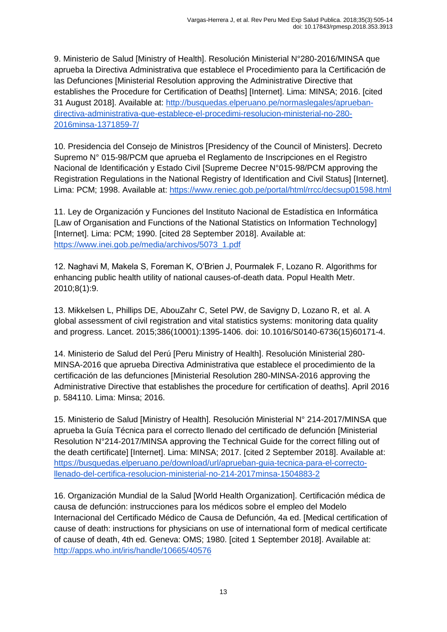9. Ministerio de Salud [Ministry of Health]. Resolución Ministerial N°280-2016/MINSA que aprueba la Directiva Administrativa que establece el Procedimiento para la Certificación de las Defunciones [Ministerial Resolution approving the Administrative Directive that establishes the Procedure for Certification of Deaths] [Internet]. Lima: MINSA; 2016. [cited 31 August 2018]. Available at: [http://busquedas.elperuano.pe/normaslegales/aprueban](http://busquedas.elperuano.pe/normaslegales/aprueban-directiva-administrativa-que-establece-el-procedimi-resolucion-ministerial-no-280-2016minsa-1371859-7/)[directiva-administrativa-que-establece-el-procedimi-resolucion-ministerial-no-280-](http://busquedas.elperuano.pe/normaslegales/aprueban-directiva-administrativa-que-establece-el-procedimi-resolucion-ministerial-no-280-2016minsa-1371859-7/) [2016minsa-1371859-7/](http://busquedas.elperuano.pe/normaslegales/aprueban-directiva-administrativa-que-establece-el-procedimi-resolucion-ministerial-no-280-2016minsa-1371859-7/)

10. Presidencia del Consejo de Ministros [Presidency of the Council of Ministers]. Decreto Supremo N° 015-98/PCM que aprueba el Reglamento de Inscripciones en el Registro Nacional de Identificación y Estado Civil [Supreme Decree N°015-98/PCM approving the Registration Regulations in the National Registry of Identification and Civil Status] [Internet]. Lima: PCM; 1998. Available at:<https://www.reniec.gob.pe/portal/html/rrcc/decsup01598.html>

11. Ley de Organización y Funciones del Instituto Nacional de Estadística en Informática [Law of Organisation and Functions of the National Statistics on Information Technology] [Internet]. Lima: PCM; 1990. [cited 28 September 2018]. Available at: [https://www.inei.gob.pe/media/archivos/5073\\_1.pdf](https://www.inei.gob.pe/media/archivos/5073_1.pdf)

12. Naghavi M, Makela S, Foreman K, O'Brien J, Pourmalek F, Lozano R. Algorithms for enhancing public health utility of national causes-of-death data. Popul Health Metr. 2010;8(1):9.

13. Mikkelsen L, Phillips DE, AbouZahr C, Setel PW, de Savigny D, Lozano R, et al. A global assessment of civil registration and vital statistics systems: monitoring data quality and progress. Lancet. 2015;386(10001):1395-1406. doi: 10.1016/S0140-6736(15)60171-4.

14. Ministerio de Salud del Perú [Peru Ministry of Health]. Resolución Ministerial 280- MINSA-2016 que aprueba Directiva Administrativa que establece el procedimiento de la certificación de las defunciones [Ministerial Resolution 280-MINSA-2016 approving the Administrative Directive that establishes the procedure for certification of deaths]. April 2016 p. 584110. Lima: Minsa; 2016.

15. Ministerio de Salud [Ministry of Health]. Resolución Ministerial N° 214-2017/MINSA que aprueba la Guía Técnica para el correcto llenado del certificado de defunción [Ministerial Resolution N°214-2017/MINSA approving the Technical Guide for the correct filling out of the death certificate] [Internet]. Lima: MINSA; 2017. [cited 2 September 2018]. Available at: [https://busquedas.elperuano.pe/download/url/aprueban-guia-tecnica-para-el-correcto](https://busquedas.elperuano.pe/download/url/aprueban-guia-tecnica-para-el-correcto-llenado-del-certifica-resolucion-ministerial-no-214-2017minsa-1504883-2)[llenado-del-certifica-resolucion-ministerial-no-214-2017minsa-1504883-2](https://busquedas.elperuano.pe/download/url/aprueban-guia-tecnica-para-el-correcto-llenado-del-certifica-resolucion-ministerial-no-214-2017minsa-1504883-2)

16. Organización Mundial de la Salud [World Health Organization]. Certificación médica de causa de defunción: instrucciones para los médicos sobre el empleo del Modelo Internacional del Certificado Médico de Causa de Defunción, 4a ed. [Medical certification of cause of death: instructions for physicians on use of international form of medical certificate of cause of death, 4th ed. Geneva: OMS; 1980. [cited 1 September 2018]. Available at: <http://apps.who.int/iris/handle/10665/40576>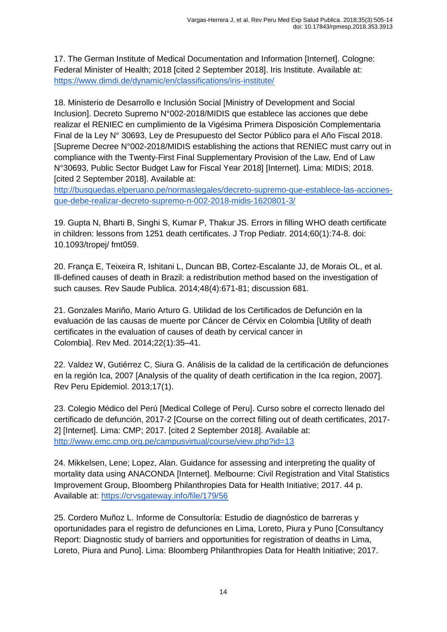17. The German Institute of Medical Documentation and Information [Internet]. Cologne: Federal Minister of Health; 2018 [cited 2 September 2018]. Iris Institute. Available at: <https://www.dimdi.de/dynamic/en/classifications/iris-institute/>

18. Ministerio de Desarrollo e Inclusión Social [Ministry of Development and Social Inclusion]. Decreto Supremo N°002-2018/MIDIS que establece las acciones que debe realizar el RENIEC en cumplimiento de la Vigésima Primera Disposición Complementaria Final de la Ley N° 30693, Ley de Presupuesto del Sector Público para el Año Fiscal 2018. [Supreme Decree N°002-2018/MIDIS establishing the actions that RENIEC must carry out in compliance with the Twenty-First Final Supplementary Provision of the Law, End of Law N°30693, Public Sector Budget Law for Fiscal Year 2018] [Internet]. Lima: MIDIS; 2018. [cited 2 September 2018]. Available at:

[http://busquedas.elperuano.pe/normaslegales/decreto-supremo-que-establece-las-acciones](http://busquedas.elperuano.pe/normaslegales/decreto-supremo-que-establece-las-acciones-que-debe-realizar-decreto-supremo-n-002-2018-midis-1620801-3/)[que-debe-realizar-decreto-supremo-n-002-2018-midis-1620801-3/](http://busquedas.elperuano.pe/normaslegales/decreto-supremo-que-establece-las-acciones-que-debe-realizar-decreto-supremo-n-002-2018-midis-1620801-3/)

19. Gupta N, Bharti B, Singhi S, Kumar P, Thakur JS. Errors in filling WHO death certificate in children: lessons from 1251 death certificates. J Trop Pediatr. 2014;60(1):74-8. doi: 10.1093/tropej/ fmt059.

20. França E, Teixeira R, Ishitani L, Duncan BB, Cortez-Escalante JJ, de Morais OL, et al. Ill-defined causes of death in Brazil: a redistribution method based on the investigation of such causes. Rev Saude Publica. 2014;48(4):671-81; discussion 681.

21. Gonzales Mariño, Mario Arturo G. Utilidad de los Certificados de Defunción en la evaluación de las causas de muerte por Cáncer de Cérvix en Colombia [Utility of death certificates in the evaluation of causes of death by cervical cancer in Colombia]. Rev Med. 2014;22(1):35–41.

22. Valdez W, Gutiérrez C, Siura G. Análisis de la calidad de la certificación de defunciones en la región Ica, 2007 [Analysis of the quality of death certification in the Ica region, 2007]. Rev Peru Epidemiol. 2013;17(1).

23. Colegio Médico del Perú [Medical College of Peru]. Curso sobre el correcto llenado del certificado de defunción, 2017-2 [Course on the correct filling out of death certificates, 2017- 2] [Internet]. Lima: CMP; 2017. [cited 2 September 2018]. Available at: <http://www.emc.cmp.org.pe/campusvirtual/course/view.php?id=13>

24. Mikkelsen, Lene; Lopez, Alan. Guidance for assessing and interpreting the quality of mortality data using ANACONDA [Internet]. Melbourne: Civil Registration and Vital Statistics Improvement Group, Bloomberg Philanthropies Data for Health Initiative; 2017. 44 p. Available at:<https://crvsgateway.info/file/179/56>

25. Cordero Muñoz L. Informe de Consultoría: Estudio de diagnóstico de barreras y oportunidades para el registro de defunciones en Lima, Loreto, Piura y Puno [Consultancy Report: Diagnostic study of barriers and opportunities for registration of deaths in Lima, Loreto, Piura and Puno]. Lima: Bloomberg Philanthropies Data for Health Initiative; 2017.